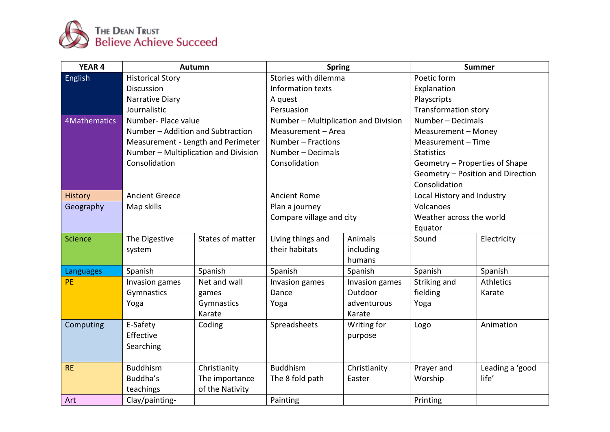

| YEAR 4              | <b>Autumn</b>                        |                  | <b>Spring</b>                        |                | <b>Summer</b>                     |                 |
|---------------------|--------------------------------------|------------------|--------------------------------------|----------------|-----------------------------------|-----------------|
| <b>English</b>      | <b>Historical Story</b>              |                  | Stories with dilemma                 |                | Poetic form                       |                 |
|                     | Discussion                           |                  | Information texts                    |                | Explanation                       |                 |
|                     | Narrative Diary                      |                  | A quest                              |                | Playscripts                       |                 |
|                     | Journalistic                         |                  | Persuasion                           |                | <b>Transformation story</b>       |                 |
| <b>4Mathematics</b> | Number- Place value                  |                  | Number - Multiplication and Division |                | Number - Decimals                 |                 |
|                     | Number - Addition and Subtraction    |                  | Measurement - Area                   |                | Measurement - Money               |                 |
|                     | Measurement - Length and Perimeter   |                  | Number - Fractions                   |                | Measurement - Time                |                 |
|                     | Number - Multiplication and Division |                  | Number - Decimals                    |                | <b>Statistics</b>                 |                 |
|                     | Consolidation                        |                  | Consolidation                        |                | Geometry - Properties of Shape    |                 |
|                     |                                      |                  |                                      |                | Geometry - Position and Direction |                 |
|                     |                                      |                  |                                      |                | Consolidation                     |                 |
| <b>History</b>      | <b>Ancient Greece</b>                |                  | <b>Ancient Rome</b>                  |                | Local History and Industry        |                 |
| Geography           | Map skills                           |                  | Plan a journey                       |                | Volcanoes                         |                 |
|                     |                                      |                  | Compare village and city             |                | Weather across the world          |                 |
|                     |                                      |                  |                                      |                | Equator                           |                 |
| <b>Science</b>      | The Digestive                        | States of matter | Living things and                    | Animals        | Sound                             | Electricity     |
|                     | system                               |                  | their habitats                       | including      |                                   |                 |
|                     |                                      |                  |                                      | humans         |                                   |                 |
| <b>Languages</b>    | Spanish                              | Spanish          | Spanish                              | Spanish        | Spanish                           | Spanish         |
| PE                  | Invasion games                       | Net and wall     | Invasion games                       | Invasion games | Striking and                      | Athletics       |
|                     | Gymnastics                           | games            | Dance                                | Outdoor        | fielding                          | Karate          |
|                     | Yoga                                 | Gymnastics       | Yoga                                 | adventurous    | Yoga                              |                 |
|                     |                                      | Karate           |                                      | Karate         |                                   |                 |
| Computing           | E-Safety                             | Coding           | Spreadsheets                         | Writing for    | Logo                              | Animation       |
|                     | Effective                            |                  |                                      | purpose        |                                   |                 |
|                     | Searching                            |                  |                                      |                |                                   |                 |
|                     |                                      |                  |                                      |                |                                   |                 |
| <b>RE</b>           | <b>Buddhism</b>                      | Christianity     | <b>Buddhism</b>                      | Christianity   | Prayer and                        | Leading a 'good |
|                     | Buddha's                             | The importance   | The 8 fold path                      | Easter         | Worship                           | life'           |
|                     | teachings                            | of the Nativity  |                                      |                |                                   |                 |
| Art                 | Clay/painting-                       |                  | Painting                             |                | Printing                          |                 |